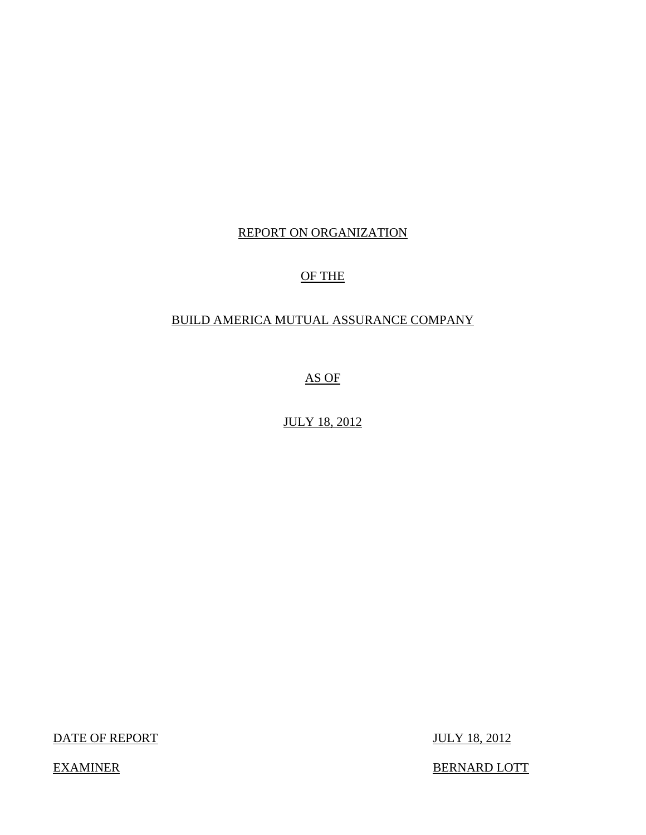# REPORT ON ORGANIZATION

# OF THE

# BUILD AMERICA MUTUAL ASSURANCE COMPANY

AS OF

JULY 18, 2012

DATE OF REPORT JULY 18, 2012

EXAMINER BERNARD LOTT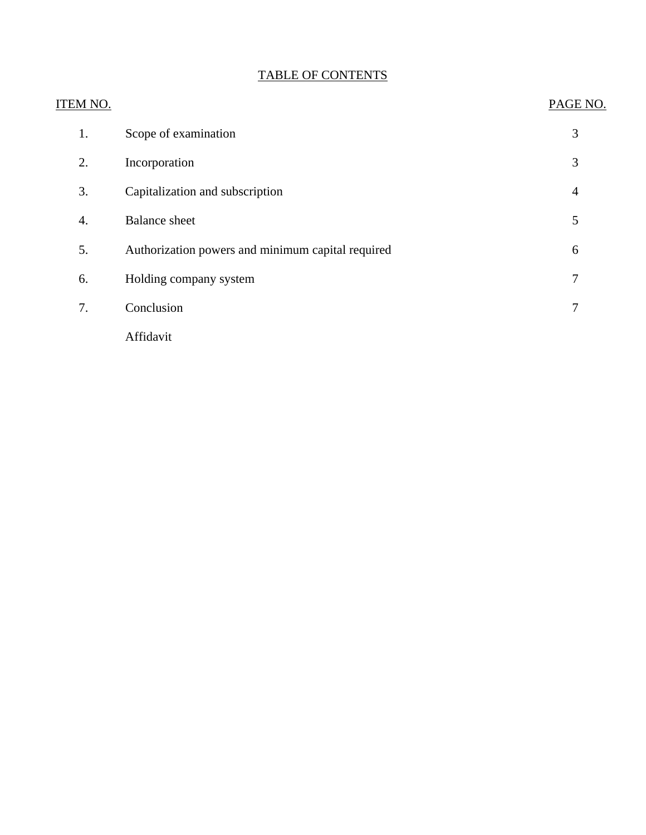| ITEM NO. |                                                   | PAGE NO.       |
|----------|---------------------------------------------------|----------------|
| 1.       | Scope of examination                              | 3              |
| 2.       | Incorporation                                     | 3              |
| 3.       | Capitalization and subscription                   | $\overline{4}$ |
| 4.       | <b>Balance</b> sheet                              | 5              |
| 5.       | Authorization powers and minimum capital required | 6              |
| 6.       | Holding company system                            | 7              |
| 7.       | Conclusion                                        | 7              |
|          | Affidavit                                         |                |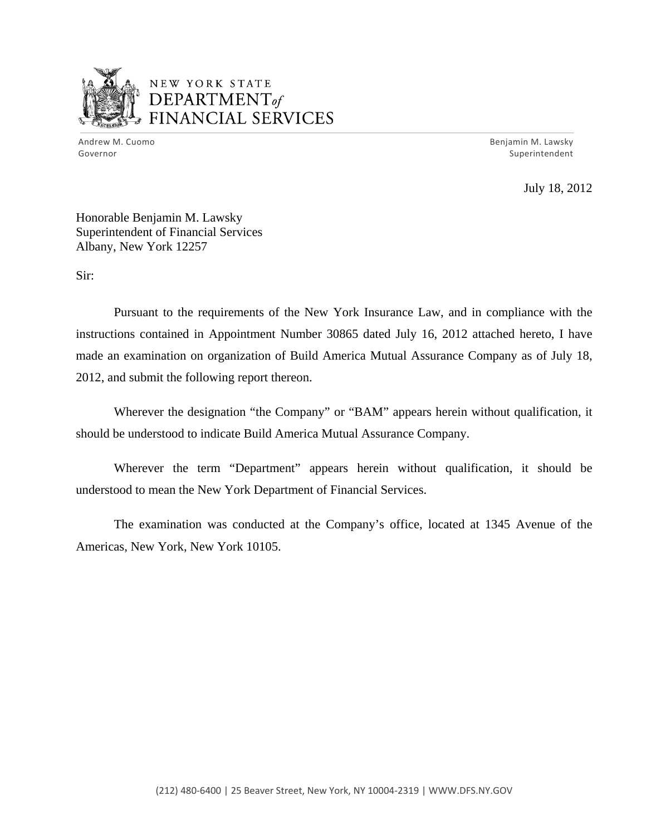

# NEW YORK STATE  $\mathbf{DEPARTMENT}$ *~,........,,* FINANCIAL SERVICES

 Andrew M. Cuomo Benjamin M. Lawsky Governor Superintendent

July 18, 2012

Honorable Benjamin M. Lawsky Superintendent of Financial Services Albany, New York 12257

Sir:

Pursuant to the requirements of the New York Insurance Law, and in compliance with the instructions contained in Appointment Number 30865 dated July 16, 2012 attached hereto, I have made an examination on organization of Build America Mutual Assurance Company as of July 18, 2012, and submit the following report thereon.

Wherever the designation "the Company" or "BAM" appears herein without qualification, it should be understood to indicate Build America Mutual Assurance Company.

Wherever the term "Department" appears herein without qualification, it should be understood to mean the New York Department of Financial Services.

The examination was conducted at the Company's office, located at 1345 Avenue of the Americas, New York, New York 10105.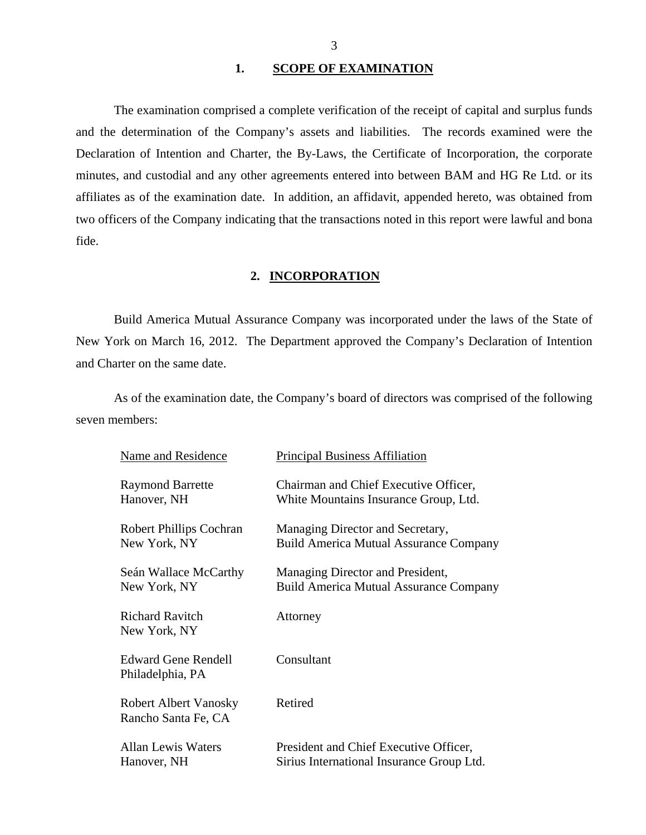### 1. SCOPE OF EXAMINATION

<span id="page-3-0"></span>The examination comprised a complete verification of the receipt of capital and surplus funds and the determination of the Company's assets and liabilities. The records examined were the Declaration of Intention and Charter, the By-Laws, the Certificate of Incorporation, the corporate minutes, and custodial and any other agreements entered into between BAM and HG Re Ltd. or its affiliates as of the examination date. In addition, an affidavit, appended hereto, was obtained from two officers of the Company indicating that the transactions noted in this report were lawful and bona fide.

### **2. INCORPORATION**

Build America Mutual Assurance Company was incorporated under the laws of the State of New York on March 16, 2012. The Department approved the Company's Declaration of Intention and Charter on the same date.

As of the examination date, the Company's board of directors was comprised of the following seven members:

| Name and Residence                                  | <b>Principal Business Affiliation</b>         |
|-----------------------------------------------------|-----------------------------------------------|
| <b>Raymond Barrette</b>                             | Chairman and Chief Executive Officer,         |
| Hanover, NH                                         | White Mountains Insurance Group, Ltd.         |
| <b>Robert Phillips Cochran</b>                      | Managing Director and Secretary,              |
| New York, NY                                        | <b>Build America Mutual Assurance Company</b> |
| Seán Wallace McCarthy                               | Managing Director and President,              |
| New York, NY                                        | <b>Build America Mutual Assurance Company</b> |
| <b>Richard Ravitch</b><br>New York, NY              | Attorney                                      |
| <b>Edward Gene Rendell</b><br>Philadelphia, PA      | Consultant                                    |
| <b>Robert Albert Vanosky</b><br>Rancho Santa Fe, CA | Retired                                       |
| <b>Allan Lewis Waters</b>                           | President and Chief Executive Officer,        |
| Hanover, NH                                         | Sirius International Insurance Group Ltd.     |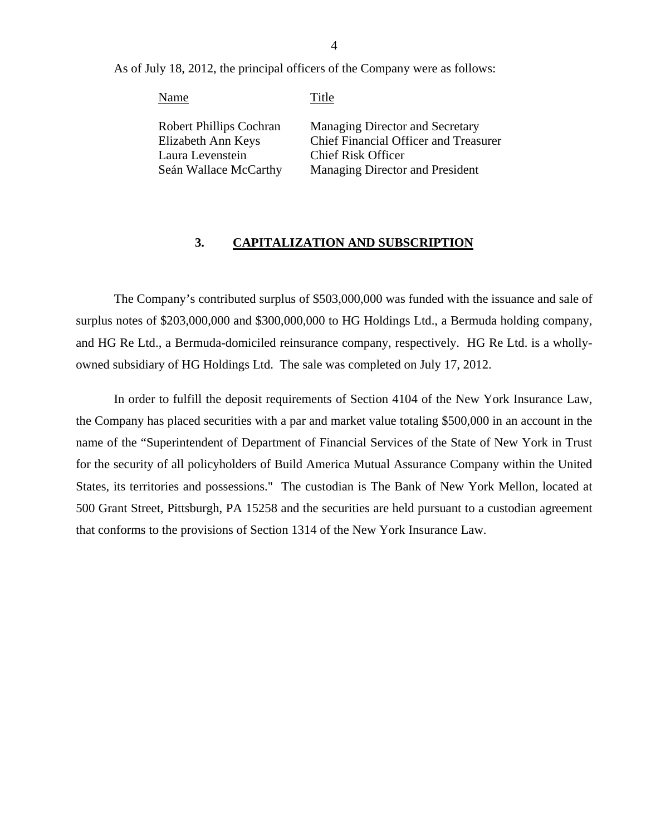As of July 18, 2012, the principal officers of the Company were as follows:

Name Title Robert Phillips Cochran Elizabeth Ann Keys Laura Levenstein Seán Wallace McCarthy Managing Director and Secretary Chief Financial Officer and Treasurer Chief Risk Officer Managing Director and President

### **3. CAPITALIZATION AND SUBSCRIPTION**

The Company's contributed surplus of \$503,000,000 was funded with the issuance and sale of surplus notes of \$203,000,000 and \$300,000,000 to HG Holdings Ltd., a Bermuda holding company, and HG Re Ltd., a Bermuda-domiciled reinsurance company, respectively. HG Re Ltd. is a whollyowned subsidiary of HG Holdings Ltd. The sale was completed on July 17, 2012.

In order to fulfill the deposit requirements of Section 4104 of the New York Insurance Law, the Company has placed securities with a par and market value totaling \$500,000 in an account in the name of the "Superintendent of Department of Financial Services of the State of New York in Trust for the security of all policyholders of Build America Mutual Assurance Company within the United States, its territories and possessions." The custodian is The Bank of New York Mellon, located at 500 Grant Street, Pittsburgh, PA 15258 and the securities are held pursuant to a custodian agreement that conforms to the provisions of Section 1314 of the New York Insurance Law.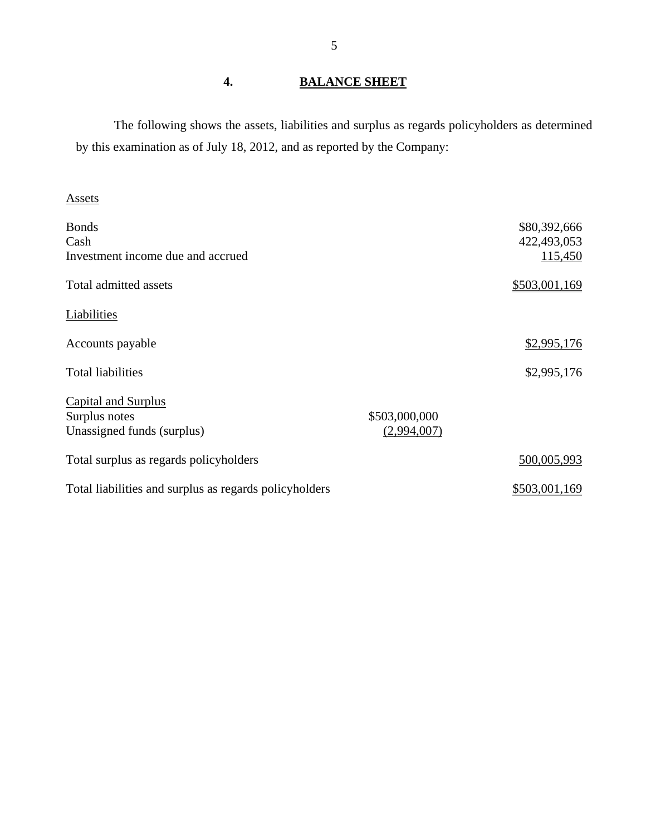# **4. BALANCE SHEET**

The following shows the assets, liabilities and surplus as regards policyholders as determined by this examination as of July 18, 2012, and as reported by the Company:

# Assets

| <b>Bonds</b><br>Cash<br>Investment income due and accrued          |                              | \$80,392,666<br>422,493,053<br>115,450 |
|--------------------------------------------------------------------|------------------------------|----------------------------------------|
| Total admitted assets                                              |                              | \$503,001,169                          |
| Liabilities                                                        |                              |                                        |
| Accounts payable                                                   |                              | \$2,995,176                            |
| <b>Total liabilities</b>                                           |                              | \$2,995,176                            |
| Capital and Surplus<br>Surplus notes<br>Unassigned funds (surplus) | \$503,000,000<br>(2,994,007) |                                        |
| Total surplus as regards policyholders                             |                              | 500,005,993                            |
| Total liabilities and surplus as regards policyholders             |                              | \$503,001,169                          |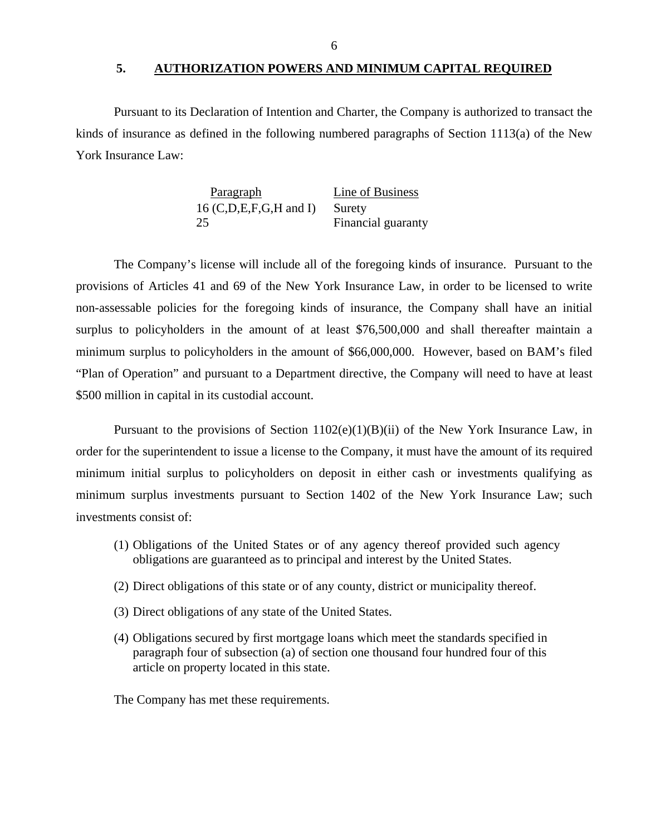#### **5. AUTHORIZATION POWERS AND MINIMUM CAPITAL REQUIRED**

<span id="page-6-0"></span>Pursuant to its Declaration of Intention and Charter, the Company is authorized to transact the kinds of insurance as defined in the following numbered paragraphs of Section 1113(a) of the New York Insurance Law:

| Paragraph                | Line of Business   |
|--------------------------|--------------------|
| $16$ (C,D,E,F,G,H and I) | Surety             |
| 25                       | Financial guaranty |

The Company's license will include all of the foregoing kinds of insurance. Pursuant to the provisions of Articles 41 and 69 of the New York Insurance Law, in order to be licensed to write non-assessable policies for the foregoing kinds of insurance, the Company shall have an initial surplus to policyholders in the amount of at least \$76,500,000 and shall thereafter maintain a minimum surplus to policyholders in the amount of \$66,000,000. However, based on BAM's filed "Plan of Operation" and pursuant to a Department directive, the Company will need to have at least \$500 million in capital in its custodial account.

Pursuant to the provisions of Section  $1102(e)(1)(B)(ii)$  of the New York Insurance Law, in order for the superintendent to issue a license to the Company, it must have the amount of its required minimum initial surplus to policyholders on deposit in either cash or investments qualifying as minimum surplus investments pursuant to Section 1402 of the New York Insurance Law; such investments consist of:

- (1) Obligations of the United States or of any agency thereof provided such agency obligations are guaranteed as to principal and interest by the United States.
- (2) Direct obligations of this state or of any county, district or municipality thereof.
- (3) Direct obligations of any state of the United States.
- (4) Obligations secured by first mortgage loans which meet the standards specified in paragraph four of subsection (a) of section one thousand four hundred four of this article on property located in this state.

The Company has met these requirements.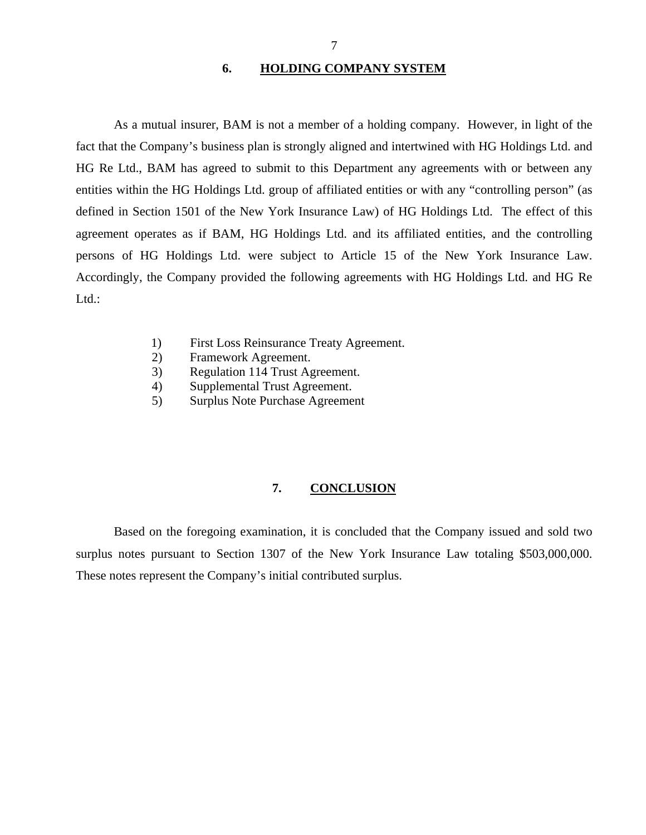### **6. HOLDING COMPANY SYSTEM**

<span id="page-7-0"></span>persons of HG Holdings Ltd. were subject to Article 15 of the New York Insurance Law. As a mutual insurer, BAM is not a member of a holding company. However, in light of the fact that the Company's business plan is strongly aligned and intertwined with HG Holdings Ltd. and HG Re Ltd., BAM has agreed to submit to this Department any agreements with or between any entities within the HG Holdings Ltd. group of affiliated entities or with any "controlling person" (as defined in Section 1501 of the New York Insurance Law) of HG Holdings Ltd. The effect of this agreement operates as if BAM, HG Holdings Ltd. and its affiliated entities, and the controlling Accordingly, the Company provided the following agreements with HG Holdings Ltd. and HG Re Ltd.:

- 1) First Loss Reinsurance Treaty Agreement.
- 2) Framework Agreement.
- 3) Regulation 114 Trust Agreement.
- 4) Supplemental Trust Agreement.
- 5) Surplus Note Purchase Agreement

# **7. CONCLUSION**

Based on the foregoing examination, it is concluded that the Company issued and sold two surplus notes pursuant to Section 1307 of the New York Insurance Law totaling \$503,000,000. These notes represent the Company's initial contributed surplus.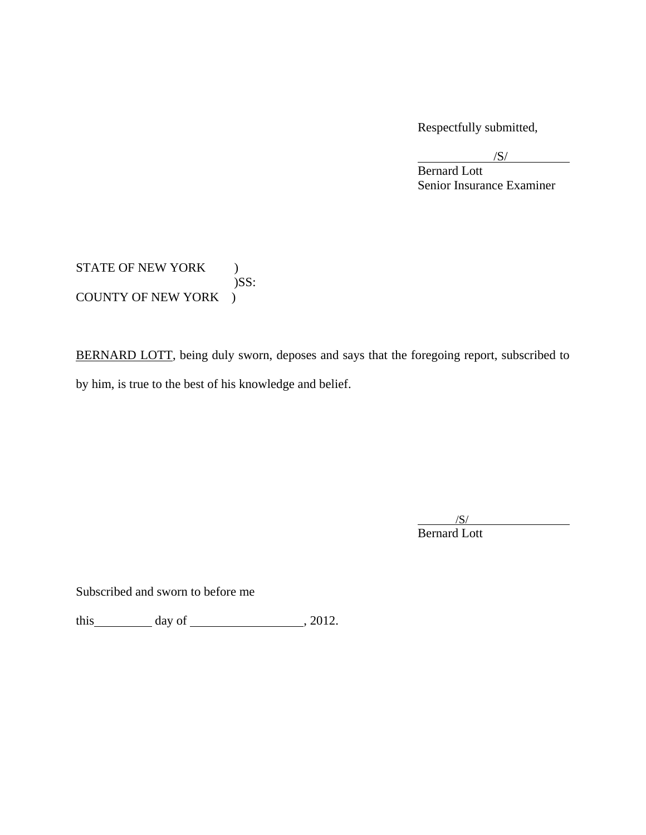Respectfully submitted,

 $\sqrt{S/}$  $\overline{\phantom{a}}$ /S/

Bernard Lott Senior Insurance Examiner

STATE OF NEW YORK ) )SS: COUNTY OF NEW YORK )

BERNARD LOTT, being duly sworn, deposes and says that the foregoing report, subscribed to by him, is true to the best of his knowledge and belief.

 $/S/$  $\overline{\phantom{a}}$  /S/ Bernard Lott

Subscribed and sworn to before me

this day of  $\frac{1}{2012}$ , 2012.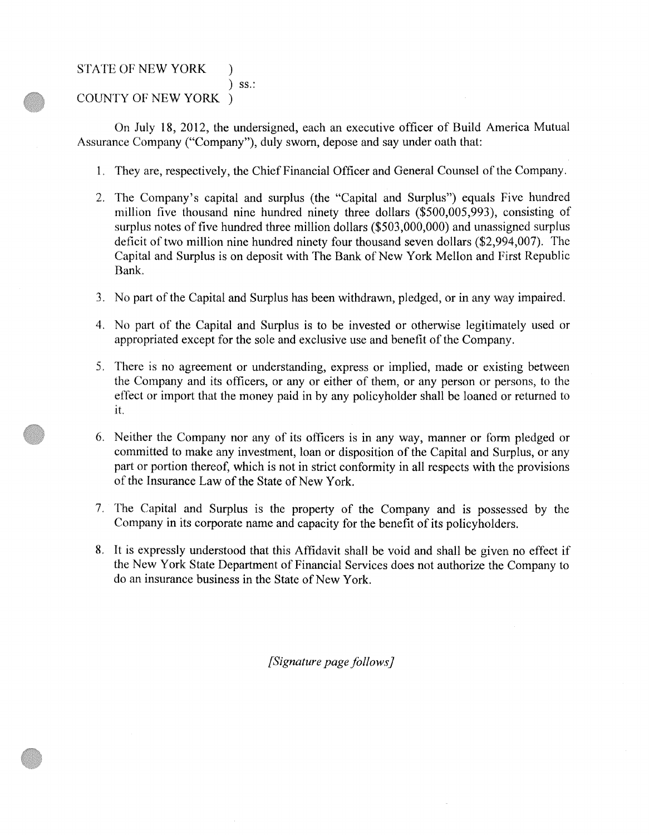STATE OF NEW YORK )

) ss.: COUNTY OF NEW YORK )

On July 18, 2012, the undersigned, each an executive officer of Build America Mutual Assurance Company ("Company"), duly sworn, depose and say under oath that:

- 1. They are, respectively, the Chief Financial Officer and General Counsel of the Company.
- 2. The Company's capital and surplus (the "Capital and Surplus") equals Five hundred million five thousand nine hundred ninety three dollars (\$500,005,993), consisting of surplus notes of five hundred three million dollars (\$503,000,000) and unassigned surplus deficit of two million nine hundred ninety four thousand seven dollars (\$2,994,007). The Capital and Surplus is on deposit with The Bank of New York Mellon and First Republic Bank.
- 3. No part of the Capital and Surplus has been withdrawn, pledged, or in any way impaired.
- 4. No part of the Capital and Surplus is to be invested or otherwise legitimately used or appropriated except for the sole and exclusive use and benefit of the Company.
- 5. There is no agreement or understanding, express or implied, made or existing between the Company and its officers, or any or either of them, or any person or persons, to the effect or import that the money paid in by any policyholder shall be loaned or returned to it.
- 6. Neither the Company nor any of its officers is in any way, manner or form pledged or committed to make any investment, loan or disposition of the Capital and Surplus, or any part or portion thereof: which is not in strict conformity in all respects with the provisions of the Insurance Law of the State of New York.
- 7. The Capital and Surplus is the property of the Company and is possessed by the Company in its corporate name and capacity for the benefit of its policyholders.
- 8. It is expressly understood that this Affidavit shall be void and shall be given no effect if the New York State Department of Financial Services does not authorize the Company to do an insurance business in the State of New York.

*[Signature page follows]*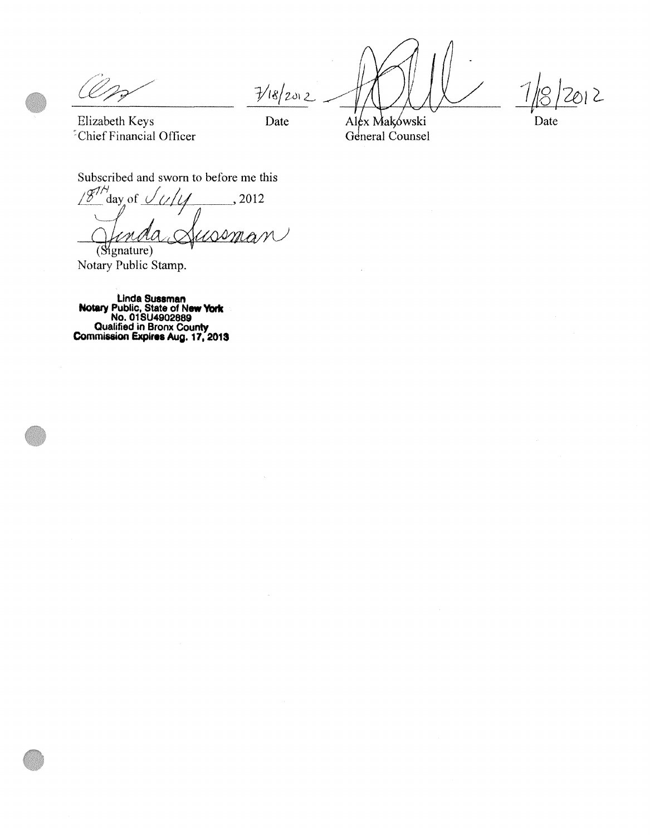$7/8/202$ 

*·1j8* /2e>1 2--

Elizabeth Keys "Chief Financial Officer

Date

Alex Makowski General Counsel Date

Subscribed and sworn to before me this

 $\sqrt{g^{\frac{1}{\beta}}}$ day of  $\theta$ ,<sup>2012</sup> bscribed and sworn to before me this<br>  $\frac{\xi^{1/4}}{\xi^{1/4}}$  day of  $\frac{1}{\sqrt{1-\xi^{1/4}}}$ , 2012<br> *Anda Australian* (Signature)

Notary Public Stamp.

**Linda Sussman Notary Public, State of New York No. 01 SU4902889 Qualified in Bronx County Commission Expires Aug. 17, 2013**